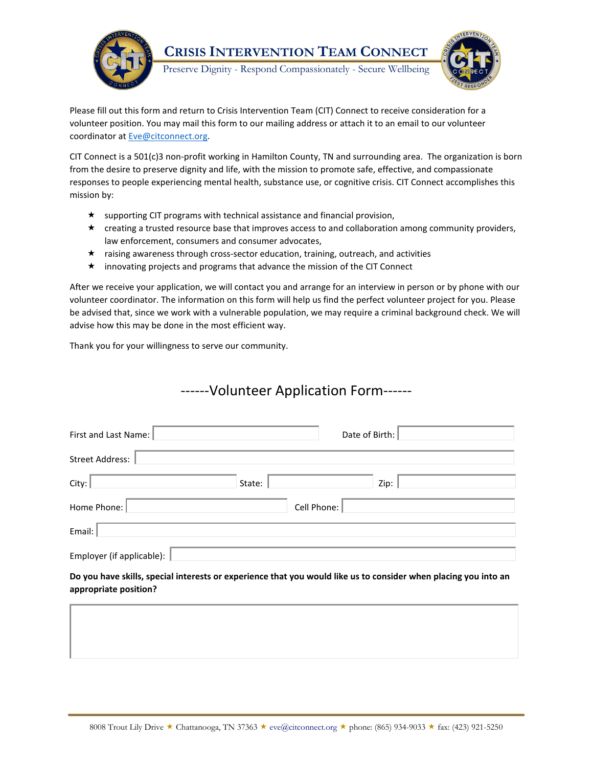

Please fill out this form and return to Crisis Intervention Team (CIT) Connect to receive consideration for a volunteer position. You may mail this form to our mailing address or attach it to an email to our volunteer coordinator at **Eve@citconnect.org**.

CIT Connect is a 501(c)3 non-profit working in Hamilton County, TN and surrounding area. The organization is born from the desire to preserve dignity and life, with the mission to promote safe, effective, and compassionate responses to people experiencing mental health, substance use, or cognitive crisis. CIT Connect accomplishes this mission by:

- $\star$  supporting CIT programs with technical assistance and financial provision,
- creating a trusted resource base that improves access to and collaboration among community providers, law enforcement, consumers and consumer advocates,
- $\star$  raising awareness through cross-sector education, training, outreach, and activities
- innovating projects and programs that advance the mission of the CIT Connect

After we receive your application, we will contact you and arrange for an interview in person or by phone with our volunteer coordinator. The information on this form will help us find the perfect volunteer project for you. Please be advised that, since we work with a vulnerable population, we may require a criminal background check. We will advise how this may be done in the most efficient way.

Thank you for your willingness to serve our community.

## ------Volunteer Application Form------

| First and Last Name:                  | Date of Birth:   |
|---------------------------------------|------------------|
| <b>Street Address:</b>                |                  |
| City:                                 | Zip: '<br>State: |
| Home Phone:                           | Cell Phone:      |
| Email:                                |                  |
| Employer (if applicable): $\parallel$ |                  |

**Do you have skills, special interests or experience that you would like us to consider when placing you into an appropriate position?**